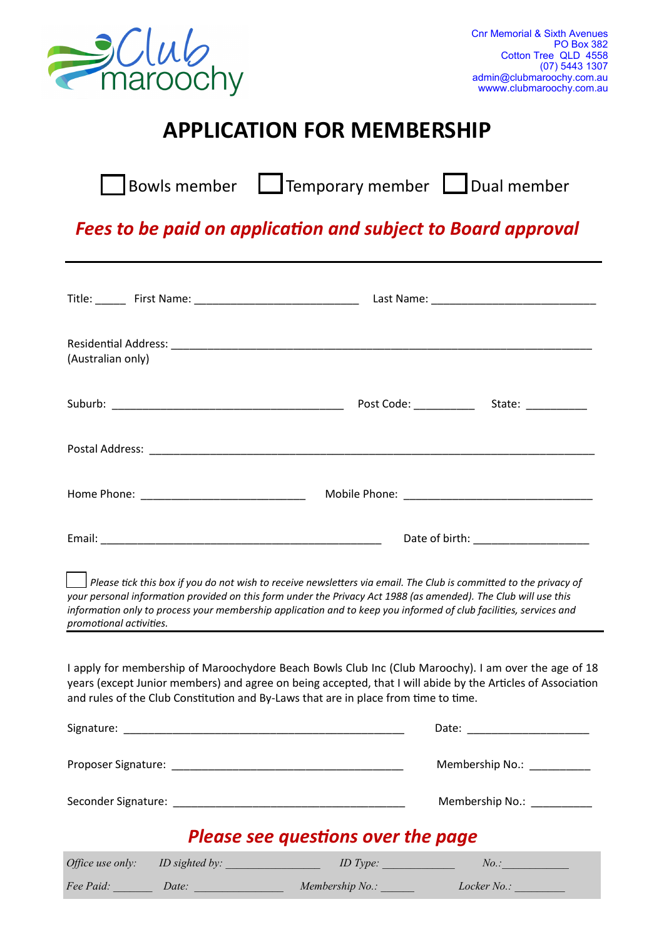

## **APPLICATION FOR MEMBERSHIP**

|  | Bowls member $\Box$ Temporary member $\Box$ Dual member |  |
|--|---------------------------------------------------------|--|
|--|---------------------------------------------------------|--|

## *Fees to be paid on application and subject to Board approval*

| (Australian only)                                                                                                                                                                                                                                                                                                                                                                    |                                                                                                                                                                                                                               |  |  |  |
|--------------------------------------------------------------------------------------------------------------------------------------------------------------------------------------------------------------------------------------------------------------------------------------------------------------------------------------------------------------------------------------|-------------------------------------------------------------------------------------------------------------------------------------------------------------------------------------------------------------------------------|--|--|--|
|                                                                                                                                                                                                                                                                                                                                                                                      |                                                                                                                                                                                                                               |  |  |  |
|                                                                                                                                                                                                                                                                                                                                                                                      |                                                                                                                                                                                                                               |  |  |  |
|                                                                                                                                                                                                                                                                                                                                                                                      |                                                                                                                                                                                                                               |  |  |  |
|                                                                                                                                                                                                                                                                                                                                                                                      |                                                                                                                                                                                                                               |  |  |  |
| Please tick this box if you do not wish to receive newsletters via email. The Club is committed to the privacy of<br>your personal information provided on this form under the Privacy Act 1988 (as amended). The Club will use this<br>information only to process your membership application and to keep you informed of club facilities, services and<br>promotional activities. | the control of the control of the control of the control of the control of the control of the control of the control of the control of the control of the control of the control of the control of the control of the control |  |  |  |
| I apply for membership of Maroochydore Beach Bowls Club Inc (Club Maroochy). I am over the age of 18<br>years (except Junior members) and agree on being accepted, that I will abide by the Articles of Association<br>and rules of the Club Constitution and By-Laws that are in place from time to time.                                                                           |                                                                                                                                                                                                                               |  |  |  |
|                                                                                                                                                                                                                                                                                                                                                                                      |                                                                                                                                                                                                                               |  |  |  |
|                                                                                                                                                                                                                                                                                                                                                                                      | Membership No.: ___________                                                                                                                                                                                                   |  |  |  |
|                                                                                                                                                                                                                                                                                                                                                                                      | Membership No.: __________                                                                                                                                                                                                    |  |  |  |
| <b>Please see questions over the page</b>                                                                                                                                                                                                                                                                                                                                            |                                                                                                                                                                                                                               |  |  |  |
| Office use only: ID sighted by: ID Type:                                                                                                                                                                                                                                                                                                                                             | No.                                                                                                                                                                                                                           |  |  |  |
| Fee Paid: Date: Date: Membership No.: Locker No.: _______________________________                                                                                                                                                                                                                                                                                                    |                                                                                                                                                                                                                               |  |  |  |